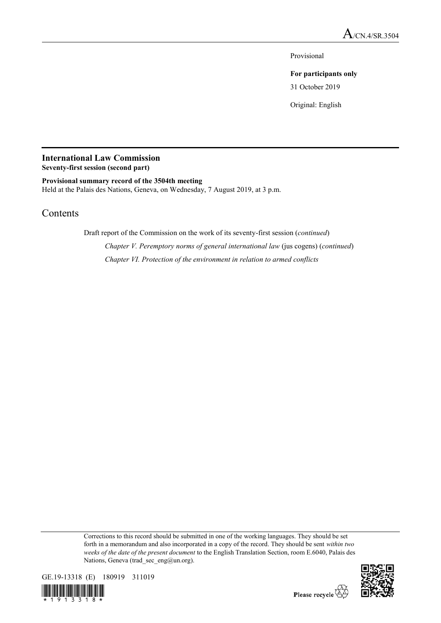Provisional

**For participants only**

31 October 2019

Original: English

# **International Law Commission**

**Seventy-first session (second part)**

**Provisional summary record of the 3504th meeting** Held at the Palais des Nations, Geneva, on Wednesday, 7 August 2019, at 3 p.m.

# Contents

Draft report of the Commission on the work of its seventy-first session (*continued*)

*Chapter V. Peremptory norms of general international law* (jus cogens) (*continued*) *Chapter VI. Protection of the environment in relation to armed conflicts*

Corrections to this record should be submitted in one of the working languages. They should be set forth in a memorandum and also incorporated in a copy of the record. They should be sent *within two weeks of the date of the present document* to the English Translation Section, room E.6040, Palais des Nations, Geneva (trad sec eng@un.org).



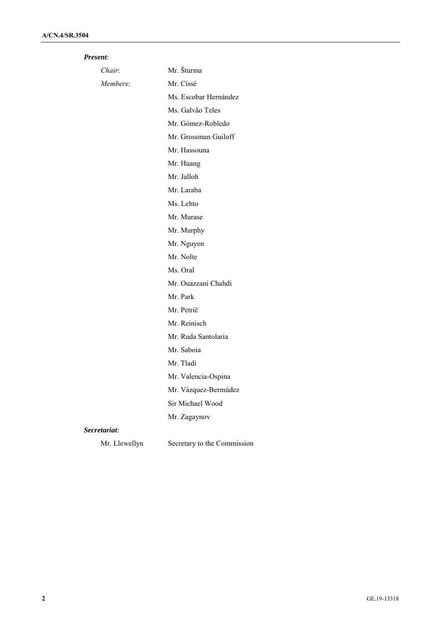| <i>Present:</i> |  |
|-----------------|--|
|                 |  |

| Chair:        | Mr. Šturma                  |
|---------------|-----------------------------|
| Members:      | Mr. Cissé                   |
|               | Ms. Escobar Hernández       |
|               | Ms. Galvão Teles            |
|               | Mr. Gómez-Robledo           |
|               | Mr. Grossman Guiloff        |
|               | Mr. Hassouna                |
|               | Mr. Huang                   |
|               | Mr. Jalloh                  |
|               | Mr. Laraba                  |
|               | Ms. Lehto                   |
|               | Mr. Murase                  |
|               | Mr. Murphy                  |
|               | Mr. Nguyen                  |
|               | Mr. Nolte                   |
|               | Ms. Oral                    |
|               | Mr. Ouazzani Chahdi         |
|               | Mr. Park                    |
|               | Mr. Petrič                  |
|               | Mr. Reinisch                |
|               | Mr. Ruda Santolaria         |
|               | Mr. Saboia                  |
|               | Mr. Tladi                   |
|               | Mr. Valencia-Ospina         |
|               | Mr. Vázquez-Bermúdez        |
|               | Sir Michael Wood            |
|               | Mr. Zagaynov                |
| Secretariat:  |                             |
| Mr. Llewellyn | Secretary to the Commission |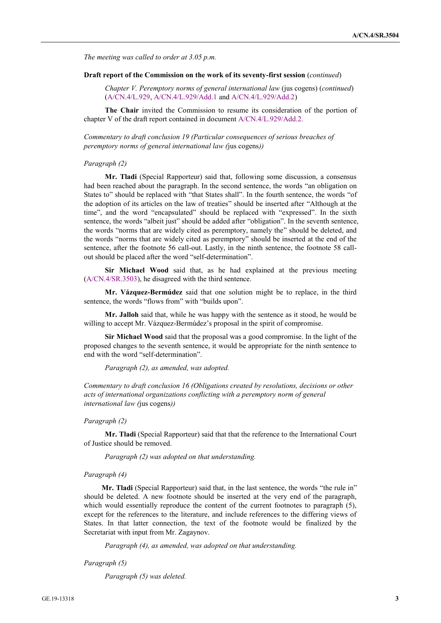*The meeting was called to order at 3.05 p.m.*

#### **Draft report of the Commission on the work of its seventy-first session** (*continued*)

*Chapter V. Peremptory norms of general international law* (jus cogens) (*continued*) (A/CN.4/L.929, A/CN.4/L.929/Add.1 and A/CN.4/L.929/Add.2)

**The Chair** invited the Commission to resume its consideration of the portion of chapter V of the draft report contained in document A/CN.4/L.929/Add.2.

*Commentary to draft conclusion 19 (Particular consequences of serious breaches of peremptory norms of general international law (*jus cogens*))*

#### *Paragraph (2)*

**Mr. Tladi** (Special Rapporteur) said that, following some discussion, a consensus had been reached about the paragraph. In the second sentence, the words "an obligation on States to" should be replaced with "that States shall". In the fourth sentence, the words "of the adoption of its articles on the law of treaties" should be inserted after "Although at the time", and the word "encapsulated" should be replaced with "expressed". In the sixth sentence, the words "albeit just" should be added after "obligation". In the seventh sentence, the words "norms that are widely cited as peremptory, namely the" should be deleted, and the words "norms that are widely cited as peremptory" should be inserted at the end of the sentence, after the footnote 56 call-out. Lastly, in the ninth sentence, the footnote 58 callout should be placed after the word "self-determination".

**Sir Michael Wood** said that, as he had explained at the previous meeting (A/CN.4/SR.3503), he disagreed with the third sentence.

**Mr. Vázquez-Bermúdez** said that one solution might be to replace, in the third sentence, the words "flows from" with "builds upon".

**Mr. Jalloh** said that, while he was happy with the sentence as it stood, he would be willing to accept Mr. Vázquez-Bermúdez's proposal in the spirit of compromise.

**Sir Michael Wood** said that the proposal was a good compromise. In the light of the proposed changes to the seventh sentence, it would be appropriate for the ninth sentence to end with the word "self-determination".

*Paragraph (2), as amended, was adopted.*

*Commentary to draft conclusion 16 (Obligations created by resolutions, decisions or other acts of international organizations conflicting with a peremptory norm of general international law (*jus cogens*))*

#### *Paragraph (2)*

**Mr. Tladi** (Special Rapporteur) said that that the reference to the International Court of Justice should be removed.

*Paragraph (2) was adopted on that understanding.*

#### *Paragraph (4)*

**Mr. Tladi** (Special Rapporteur) said that, in the last sentence, the words "the rule in" should be deleted. A new footnote should be inserted at the very end of the paragraph, which would essentially reproduce the content of the current footnotes to paragraph (5), except for the references to the literature, and include references to the differing views of States. In that latter connection, the text of the footnote would be finalized by the Secretariat with input from Mr. Zagaynov.

*Paragraph (4), as amended, was adopted on that understanding.*

*Paragraph (5)*

*Paragraph (5) was deleted.*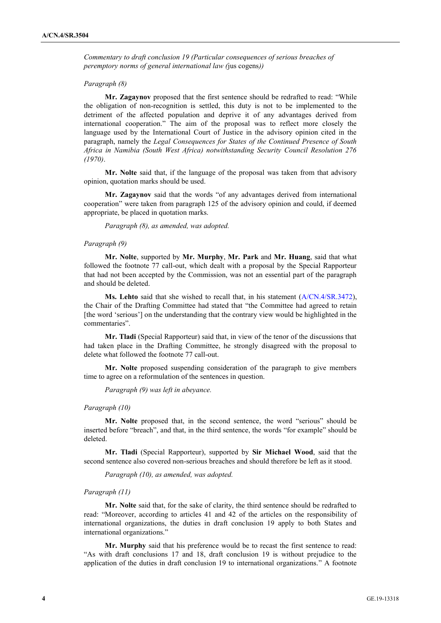*Commentary to draft conclusion 19 (Particular consequences of serious breaches of peremptory norms of general international law (*jus cogens*))*

#### *Paragraph (8)*

**Mr. Zagaynov** proposed that the first sentence should be redrafted to read: "While the obligation of non-recognition is settled, this duty is not to be implemented to the detriment of the affected population and deprive it of any advantages derived from international cooperation." The aim of the proposal was to reflect more closely the language used by the International Court of Justice in the advisory opinion cited in the paragraph, namely the *Legal Consequences for States of the Continued Presence of South Africa in Namibia (South West Africa) notwithstanding Security Council Resolution 276 (1970)*.

**Mr. Nolte** said that, if the language of the proposal was taken from that advisory opinion, quotation marks should be used.

**Mr. Zagaynov** said that the words "of any advantages derived from international cooperation" were taken from paragraph 125 of the advisory opinion and could, if deemed appropriate, be placed in quotation marks.

*Paragraph (8), as amended, was adopted.*

#### *Paragraph (9)*

**Mr. Nolte**, supported by **Mr. Murphy**, **Mr. Park** and **Mr. Huang**, said that what followed the footnote 77 call-out, which dealt with a proposal by the Special Rapporteur that had not been accepted by the Commission, was not an essential part of the paragraph and should be deleted.

**Ms. Lehto** said that she wished to recall that, in his statement (A/CN.4/SR.3472), the Chair of the Drafting Committee had stated that "the Committee had agreed to retain [the word 'serious'] on the understanding that the contrary view would be highlighted in the commentaries".

**Mr. Tladi** (Special Rapporteur) said that, in view of the tenor of the discussions that had taken place in the Drafting Committee, he strongly disagreed with the proposal to delete what followed the footnote 77 call-out.

**Mr. Nolte** proposed suspending consideration of the paragraph to give members time to agree on a reformulation of the sentences in question.

*Paragraph (9) was left in abeyance.*

#### *Paragraph (10)*

**Mr. Nolte** proposed that, in the second sentence, the word "serious" should be inserted before "breach", and that, in the third sentence, the words "for example" should be deleted.

**Mr. Tladi** (Special Rapporteur), supported by **Sir Michael Wood**, said that the second sentence also covered non-serious breaches and should therefore be left as it stood.

*Paragraph (10), as amended, was adopted.*

#### *Paragraph (11)*

**Mr. Nolte** said that, for the sake of clarity, the third sentence should be redrafted to read: "Moreover, according to articles 41 and 42 of the articles on the responsibility of international organizations, the duties in draft conclusion 19 apply to both States and international organizations."

**Mr. Murphy** said that his preference would be to recast the first sentence to read: "As with draft conclusions 17 and 18, draft conclusion 19 is without prejudice to the application of the duties in draft conclusion 19 to international organizations." A footnote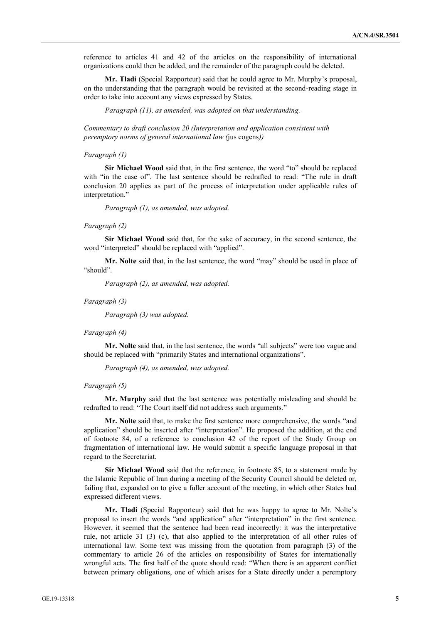reference to articles 41 and 42 of the articles on the responsibility of international organizations could then be added, and the remainder of the paragraph could be deleted.

**Mr. Tladi** (Special Rapporteur) said that he could agree to Mr. Murphy's proposal, on the understanding that the paragraph would be revisited at the second-reading stage in order to take into account any views expressed by States.

*Paragraph (11), as amended, was adopted on that understanding.*

*Commentary to draft conclusion 20 (Interpretation and application consistent with peremptory norms of general international law (*jus cogens*))*

# *Paragraph (1)*

**Sir Michael Wood** said that, in the first sentence, the word "to" should be replaced with "in the case of". The last sentence should be redrafted to read: "The rule in draft conclusion 20 applies as part of the process of interpretation under applicable rules of interpretation."

*Paragraph (1), as amended, was adopted.*

#### *Paragraph (2)*

**Sir Michael Wood** said that, for the sake of accuracy, in the second sentence, the word "interpreted" should be replaced with "applied".

**Mr. Nolte** said that, in the last sentence, the word "may" should be used in place of "should".

*Paragraph (2), as amended, was adopted.*

#### *Paragraph (3)*

*Paragraph (3) was adopted.*

#### *Paragraph (4)*

**Mr. Nolte** said that, in the last sentence, the words "all subjects" were too vague and should be replaced with "primarily States and international organizations".

*Paragraph (4), as amended, was adopted.*

# *Paragraph (5)*

**Mr. Murphy** said that the last sentence was potentially misleading and should be redrafted to read: "The Court itself did not address such arguments."

**Mr. Nolte** said that, to make the first sentence more comprehensive, the words "and application" should be inserted after "interpretation". He proposed the addition, at the end of footnote 84, of a reference to conclusion 42 of the report of the Study Group on fragmentation of international law. He would submit a specific language proposal in that regard to the Secretariat.

**Sir Michael Wood** said that the reference, in footnote 85, to a statement made by the Islamic Republic of Iran during a meeting of the Security Council should be deleted or, failing that, expanded on to give a fuller account of the meeting, in which other States had expressed different views.

**Mr. Tladi** (Special Rapporteur) said that he was happy to agree to Mr. Nolte's proposal to insert the words "and application" after "interpretation" in the first sentence. However, it seemed that the sentence had been read incorrectly: it was the interpretative rule, not article 31 (3) (c), that also applied to the interpretation of all other rules of international law. Some text was missing from the quotation from paragraph (3) of the commentary to article 26 of the articles on responsibility of States for internationally wrongful acts. The first half of the quote should read: "When there is an apparent conflict between primary obligations, one of which arises for a State directly under a peremptory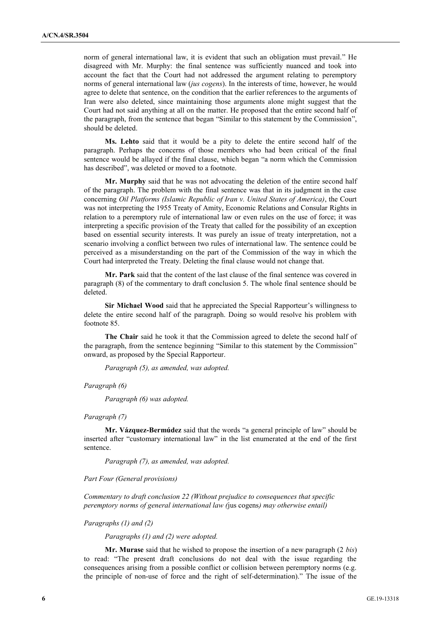norm of general international law, it is evident that such an obligation must prevail." He disagreed with Mr. Murphy: the final sentence was sufficiently nuanced and took into account the fact that the Court had not addressed the argument relating to peremptory norms of general international law (*jus cogens*). In the interests of time, however, he would agree to delete that sentence, on the condition that the earlier references to the arguments of Iran were also deleted, since maintaining those arguments alone might suggest that the Court had not said anything at all on the matter. He proposed that the entire second half of the paragraph, from the sentence that began "Similar to this statement by the Commission", should be deleted.

**Ms. Lehto** said that it would be a pity to delete the entire second half of the paragraph. Perhaps the concerns of those members who had been critical of the final sentence would be allayed if the final clause, which began "a norm which the Commission has described", was deleted or moved to a footnote.

**Mr. Murphy** said that he was not advocating the deletion of the entire second half of the paragraph. The problem with the final sentence was that in its judgment in the case concerning *Oil Platforms (Islamic Republic of Iran v. United States of America)*, the Court was not interpreting the 1955 Treaty of Amity, Economic Relations and Consular Rights in relation to a peremptory rule of international law or even rules on the use of force; it was interpreting a specific provision of the Treaty that called for the possibility of an exception based on essential security interests. It was purely an issue of treaty interpretation, not a scenario involving a conflict between two rules of international law. The sentence could be perceived as a misunderstanding on the part of the Commission of the way in which the Court had interpreted the Treaty. Deleting the final clause would not change that.

**Mr. Park** said that the content of the last clause of the final sentence was covered in paragraph (8) of the commentary to draft conclusion 5. The whole final sentence should be deleted.

**Sir Michael Wood** said that he appreciated the Special Rapporteur's willingness to delete the entire second half of the paragraph. Doing so would resolve his problem with footnote 85.

**The Chair** said he took it that the Commission agreed to delete the second half of the paragraph, from the sentence beginning "Similar to this statement by the Commission" onward, as proposed by the Special Rapporteur.

*Paragraph (5), as amended, was adopted.*

*Paragraph (6)*

*Paragraph (6) was adopted.*

#### *Paragraph (7)*

**Mr. Vázquez-Bermúdez** said that the words "a general principle of law" should be inserted after "customary international law" in the list enumerated at the end of the first sentence.

*Paragraph (7), as amended, was adopted.*

#### *Part Four (General provisions)*

*Commentary to draft conclusion 22 (Without prejudice to consequences that specific peremptory norms of general international law (*jus cogens*) may otherwise entail)*

*Paragraphs (1) and (2)*

*Paragraphs (1) and (2) were adopted.*

**Mr. Murase** said that he wished to propose the insertion of a new paragraph (2 *bis*) to read: "The present draft conclusions do not deal with the issue regarding the consequences arising from a possible conflict or collision between peremptory norms (e.g. the principle of non-use of force and the right of self-determination)." The issue of the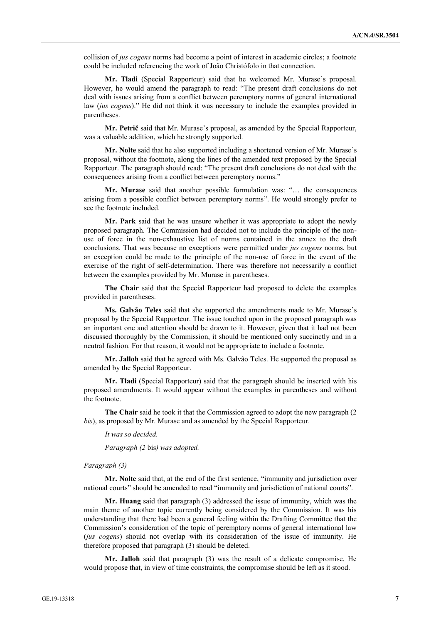collision of *jus cogens* norms had become a point of interest in academic circles; a footnote could be included referencing the work of João Christófolo in that connection.

**Mr. Tladi** (Special Rapporteur) said that he welcomed Mr. Murase's proposal. However, he would amend the paragraph to read: "The present draft conclusions do not deal with issues arising from a conflict between peremptory norms of general international law (*jus cogens*)." He did not think it was necessary to include the examples provided in parentheses.

**Mr. Petrič** said that Mr. Murase's proposal, as amended by the Special Rapporteur, was a valuable addition, which he strongly supported.

**Mr. Nolte** said that he also supported including a shortened version of Mr. Murase's proposal, without the footnote, along the lines of the amended text proposed by the Special Rapporteur. The paragraph should read: "The present draft conclusions do not deal with the consequences arising from a conflict between peremptory norms."

**Mr. Murase** said that another possible formulation was: "… the consequences arising from a possible conflict between peremptory norms". He would strongly prefer to see the footnote included.

**Mr. Park** said that he was unsure whether it was appropriate to adopt the newly proposed paragraph. The Commission had decided not to include the principle of the nonuse of force in the non-exhaustive list of norms contained in the annex to the draft conclusions. That was because no exceptions were permitted under *jus cogens* norms, but an exception could be made to the principle of the non-use of force in the event of the exercise of the right of self-determination. There was therefore not necessarily a conflict between the examples provided by Mr. Murase in parentheses.

**The Chair** said that the Special Rapporteur had proposed to delete the examples provided in parentheses.

**Ms. Galvão Teles** said that she supported the amendments made to Mr. Murase's proposal by the Special Rapporteur. The issue touched upon in the proposed paragraph was an important one and attention should be drawn to it. However, given that it had not been discussed thoroughly by the Commission, it should be mentioned only succinctly and in a neutral fashion. For that reason, it would not be appropriate to include a footnote.

**Mr. Jalloh** said that he agreed with Ms. Galvão Teles. He supported the proposal as amended by the Special Rapporteur.

**Mr. Tladi** (Special Rapporteur) said that the paragraph should be inserted with his proposed amendments. It would appear without the examples in parentheses and without the footnote.

**The Chair** said he took it that the Commission agreed to adopt the new paragraph (2 *bis*), as proposed by Mr. Murase and as amended by the Special Rapporteur.

*It was so decided.*

*Paragraph (2* bis*) was adopted.*

# *Paragraph (3)*

**Mr. Nolte** said that, at the end of the first sentence, "immunity and jurisdiction over national courts" should be amended to read "immunity and jurisdiction of national courts".

**Mr. Huang** said that paragraph (3) addressed the issue of immunity, which was the main theme of another topic currently being considered by the Commission. It was his understanding that there had been a general feeling within the Drafting Committee that the Commission's consideration of the topic of peremptory norms of general international law (*jus cogens*) should not overlap with its consideration of the issue of immunity. He therefore proposed that paragraph (3) should be deleted.

**Mr. Jalloh** said that paragraph (3) was the result of a delicate compromise. He would propose that, in view of time constraints, the compromise should be left as it stood.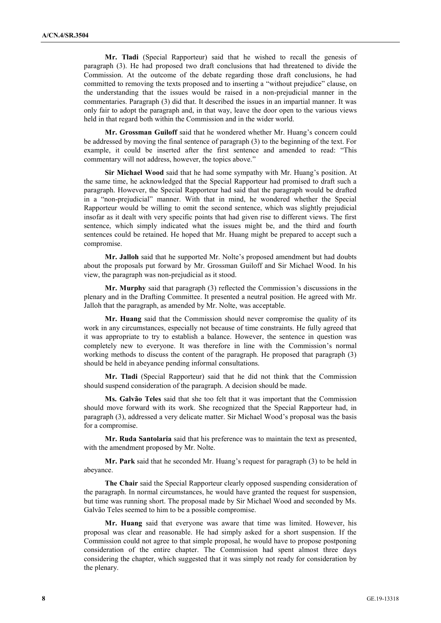**Mr. Tladi** (Special Rapporteur) said that he wished to recall the genesis of paragraph (3). He had proposed two draft conclusions that had threatened to divide the Commission. At the outcome of the debate regarding those draft conclusions, he had committed to removing the texts proposed and to inserting a "without prejudice" clause, on the understanding that the issues would be raised in a non-prejudicial manner in the commentaries. Paragraph (3) did that. It described the issues in an impartial manner. It was only fair to adopt the paragraph and, in that way, leave the door open to the various views held in that regard both within the Commission and in the wider world.

**Mr. Grossman Guiloff** said that he wondered whether Mr. Huang's concern could be addressed by moving the final sentence of paragraph (3) to the beginning of the text. For example, it could be inserted after the first sentence and amended to read: "This commentary will not address, however, the topics above."

**Sir Michael Wood** said that he had some sympathy with Mr. Huang's position. At the same time, he acknowledged that the Special Rapporteur had promised to draft such a paragraph. However, the Special Rapporteur had said that the paragraph would be drafted in a "non-prejudicial" manner. With that in mind, he wondered whether the Special Rapporteur would be willing to omit the second sentence, which was slightly prejudicial insofar as it dealt with very specific points that had given rise to different views. The first sentence, which simply indicated what the issues might be, and the third and fourth sentences could be retained. He hoped that Mr. Huang might be prepared to accept such a compromise.

**Mr. Jalloh** said that he supported Mr. Nolte's proposed amendment but had doubts about the proposals put forward by Mr. Grossman Guiloff and Sir Michael Wood. In his view, the paragraph was non-prejudicial as it stood.

**Mr. Murphy** said that paragraph (3) reflected the Commission's discussions in the plenary and in the Drafting Committee. It presented a neutral position. He agreed with Mr. Jalloh that the paragraph, as amended by Mr. Nolte, was acceptable.

**Mr. Huang** said that the Commission should never compromise the quality of its work in any circumstances, especially not because of time constraints. He fully agreed that it was appropriate to try to establish a balance. However, the sentence in question was completely new to everyone. It was therefore in line with the Commission's normal working methods to discuss the content of the paragraph. He proposed that paragraph (3) should be held in abeyance pending informal consultations.

**Mr. Tladi** (Special Rapporteur) said that he did not think that the Commission should suspend consideration of the paragraph. A decision should be made.

**Ms. Galvão Teles** said that she too felt that it was important that the Commission should move forward with its work. She recognized that the Special Rapporteur had, in paragraph (3), addressed a very delicate matter. Sir Michael Wood's proposal was the basis for a compromise.

**Mr. Ruda Santolaria** said that his preference was to maintain the text as presented, with the amendment proposed by Mr. Nolte.

**Mr. Park** said that he seconded Mr. Huang's request for paragraph (3) to be held in abeyance.

**The Chair** said the Special Rapporteur clearly opposed suspending consideration of the paragraph. In normal circumstances, he would have granted the request for suspension, but time was running short. The proposal made by Sir Michael Wood and seconded by Ms. Galvão Teles seemed to him to be a possible compromise.

**Mr. Huang** said that everyone was aware that time was limited. However, his proposal was clear and reasonable. He had simply asked for a short suspension. If the Commission could not agree to that simple proposal, he would have to propose postponing consideration of the entire chapter. The Commission had spent almost three days considering the chapter, which suggested that it was simply not ready for consideration by the plenary.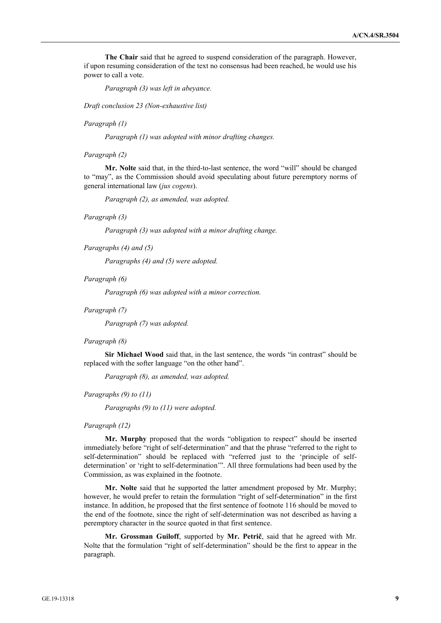**The Chair** said that he agreed to suspend consideration of the paragraph. However, if upon resuming consideration of the text no consensus had been reached, he would use his power to call a vote.

*Paragraph (3) was left in abeyance.*

*Draft conclusion 23 (Non-exhaustive list)*

*Paragraph (1)*

*Paragraph (1) was adopted with minor drafting changes.*

*Paragraph (2)*

**Mr. Nolte** said that, in the third-to-last sentence, the word "will" should be changed to "may", as the Commission should avoid speculating about future peremptory norms of general international law (*jus cogens*).

*Paragraph (2), as amended, was adopted.*

#### *Paragraph (3)*

*Paragraph (3) was adopted with a minor drafting change.*

*Paragraphs (4) and (5)*

*Paragraphs (4) and (5) were adopted.*

*Paragraph (6)*

*Paragraph (6) was adopted with a minor correction.*

#### *Paragraph (7)*

*Paragraph (7) was adopted.*

#### *Paragraph (8)*

**Sir Michael Wood** said that, in the last sentence, the words "in contrast" should be replaced with the softer language "on the other hand".

*Paragraph (8), as amended, was adopted.*

*Paragraphs (9) to (11)*

*Paragraphs (9) to (11) were adopted.*

#### *Paragraph (12)*

**Mr. Murphy** proposed that the words "obligation to respect" should be inserted immediately before "right of self-determination" and that the phrase "referred to the right to self-determination" should be replaced with "referred just to the 'principle of selfdetermination' or 'right to self-determination'". All three formulations had been used by the Commission, as was explained in the footnote.

**Mr. Nolte** said that he supported the latter amendment proposed by Mr. Murphy; however, he would prefer to retain the formulation "right of self-determination" in the first instance. In addition, he proposed that the first sentence of footnote 116 should be moved to the end of the footnote, since the right of self-determination was not described as having a peremptory character in the source quoted in that first sentence.

**Mr. Grossman Guiloff**, supported by **Mr. Petrič**, said that he agreed with Mr. Nolte that the formulation "right of self-determination" should be the first to appear in the paragraph.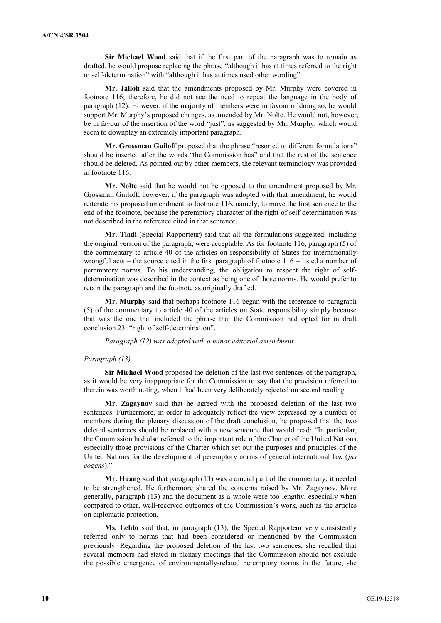**Sir Michael Wood** said that if the first part of the paragraph was to remain as drafted, he would propose replacing the phrase "although it has at times referred to the right to self-determination" with "although it has at times used other wording".

**Mr. Jalloh** said that the amendments proposed by Mr. Murphy were covered in footnote 116; therefore, he did not see the need to repeat the language in the body of paragraph (12). However, if the majority of members were in favour of doing so, he would support Mr. Murphy's proposed changes, as amended by Mr. Nolte. He would not, however, be in favour of the insertion of the word "just", as suggested by Mr. Murphy, which would seem to downplay an extremely important paragraph.

**Mr. Grossman Guiloff** proposed that the phrase "resorted to different formulations" should be inserted after the words "the Commission has" and that the rest of the sentence should be deleted. As pointed out by other members, the relevant terminology was provided in footnote 116.

**Mr. Nolte** said that he would not be opposed to the amendment proposed by Mr. Grossman Guiloff; however, if the paragraph was adopted with that amendment, he would reiterate his proposed amendment to footnote 116, namely, to move the first sentence to the end of the footnote, because the peremptory character of the right of self-determination was not described in the reference cited in that sentence.

**Mr. Tladi** (Special Rapporteur) said that all the formulations suggested, including the original version of the paragraph, were acceptable. As for footnote 116, paragraph (5) of the commentary to article 40 of the articles on responsibility of States for internationally wrongful acts – the source cited in the first paragraph of footnote  $116$  – listed a number of peremptory norms. To his understanding, the obligation to respect the right of selfdetermination was described in the context as being one of those norms. He would prefer to retain the paragraph and the footnote as originally drafted.

**Mr. Murphy** said that perhaps footnote 116 began with the reference to paragraph (5) of the commentary to article 40 of the articles on State responsibility simply because that was the one that included the phrase that the Commission had opted for in draft conclusion 23: "right of self-determination".

*Paragraph (12) was adopted with a minor editorial amendment.*

#### *Paragraph (13)*

**Sir Michael Wood** proposed the deletion of the last two sentences of the paragraph, as it would be very inappropriate for the Commission to say that the provision referred to therein was worth noting, when it had been very deliberately rejected on second reading

**Mr. Zagaynov** said that he agreed with the proposed deletion of the last two sentences. Furthermore, in order to adequately reflect the view expressed by a number of members during the plenary discussion of the draft conclusion, he proposed that the two deleted sentences should be replaced with a new sentence that would read: "In particular, the Commission had also referred to the important role of the Charter of the United Nations, especially those provisions of the Charter which set out the purposes and principles of the United Nations for the development of peremptory norms of general international law (*jus cogens*)."

**Mr. Huang** said that paragraph (13) was a crucial part of the commentary; it needed to be strengthened. He furthermore shared the concerns raised by Mr. Zagaynov. More generally, paragraph (13) and the document as a whole were too lengthy, especially when compared to other, well-received outcomes of the Commission's work, such as the articles on diplomatic protection.

**Ms. Lehto** said that, in paragraph (13), the Special Rapporteur very consistently referred only to norms that had been considered or mentioned by the Commission previously. Regarding the proposed deletion of the last two sentences, she recalled that several members had stated in plenary meetings that the Commission should not exclude the possible emergence of environmentally-related peremptory norms in the future; she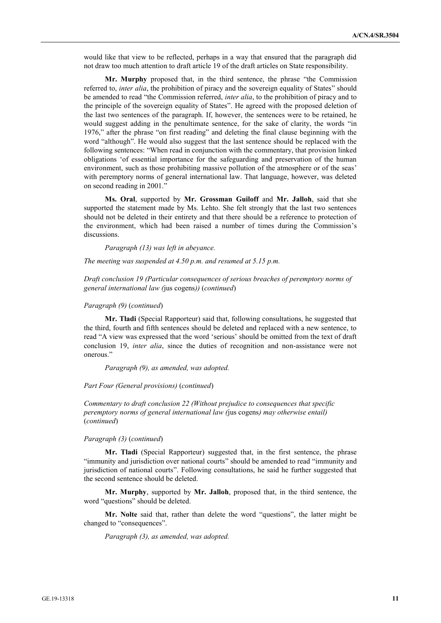would like that view to be reflected, perhaps in a way that ensured that the paragraph did not draw too much attention to draft article 19 of the draft articles on State responsibility.

**Mr. Murphy** proposed that, in the third sentence, the phrase "the Commission referred to, *inter alia*, the prohibition of piracy and the sovereign equality of States" should be amended to read "the Commission referred, *inter alia*, to the prohibition of piracy and to the principle of the sovereign equality of States". He agreed with the proposed deletion of the last two sentences of the paragraph. If, however, the sentences were to be retained, he would suggest adding in the penultimate sentence, for the sake of clarity, the words "in 1976," after the phrase "on first reading" and deleting the final clause beginning with the word "although". He would also suggest that the last sentence should be replaced with the following sentences: "When read in conjunction with the commentary, that provision linked obligations 'of essential importance for the safeguarding and preservation of the human environment, such as those prohibiting massive pollution of the atmosphere or of the seas' with peremptory norms of general international law. That language, however, was deleted on second reading in 2001."

**Ms. Oral**, supported by **Mr. Grossman Guiloff** and **Mr. Jalloh**, said that she supported the statement made by Ms. Lehto. She felt strongly that the last two sentences should not be deleted in their entirety and that there should be a reference to protection of the environment, which had been raised a number of times during the Commission's discussions.

*Paragraph (13) was left in abeyance.*

*The meeting was suspended at 4.50 p.m. and resumed at 5.15 p.m.*

*Draft conclusion 19 (Particular consequences of serious breaches of peremptory norms of general international law (*jus cogens*))* (*continued*)

# *Paragraph (9)* (*continued*)

**Mr. Tladi** (Special Rapporteur) said that, following consultations, he suggested that the third, fourth and fifth sentences should be deleted and replaced with a new sentence, to read "A view was expressed that the word 'serious' should be omitted from the text of draft conclusion 19, *inter alia*, since the duties of recognition and non-assistance were not onerous."

*Paragraph (9), as amended, was adopted.*

*Part Four (General provisions)* (*continued*)

*Commentary to draft conclusion 22 (Without prejudice to consequences that specific peremptory norms of general international law (*jus cogens*) may otherwise entail)*  (*continued*)

#### *Paragraph (3)* (*continued*)

**Mr. Tladi** (Special Rapporteur) suggested that, in the first sentence, the phrase "immunity and jurisdiction over national courts" should be amended to read "immunity and jurisdiction of national courts". Following consultations, he said he further suggested that the second sentence should be deleted.

**Mr. Murphy**, supported by **Mr. Jalloh**, proposed that, in the third sentence, the word "questions" should be deleted.

**Mr. Nolte** said that, rather than delete the word "questions", the latter might be changed to "consequences".

*Paragraph (3), as amended, was adopted.*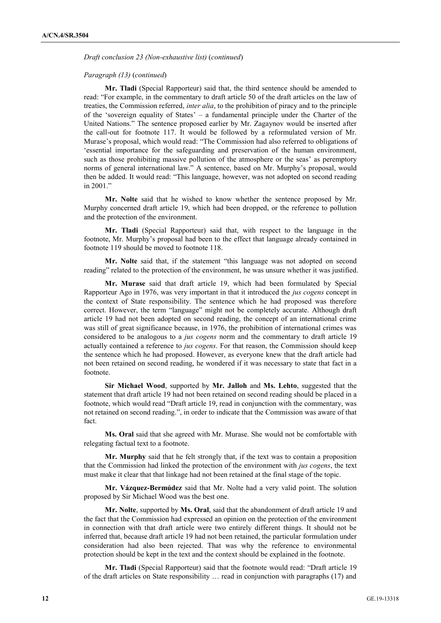*Draft conclusion 23 (Non-exhaustive list)* (*continued*)

#### *Paragraph (13)* (*continued*)

**Mr. Tladi** (Special Rapporteur) said that, the third sentence should be amended to read: "For example, in the commentary to draft article 50 of the draft articles on the law of treaties, the Commission referred, *inter alia*, to the prohibition of piracy and to the principle of the 'sovereign equality of States' – a fundamental principle under the Charter of the United Nations." The sentence proposed earlier by Mr. Zagaynov would be inserted after the call-out for footnote 117. It would be followed by a reformulated version of Mr. Murase's proposal, which would read: "The Commission had also referred to obligations of 'essential importance for the safeguarding and preservation of the human environment, such as those prohibiting massive pollution of the atmosphere or the seas' as peremptory norms of general international law." A sentence, based on Mr. Murphy's proposal, would then be added. It would read: "This language, however, was not adopted on second reading in 2001."

**Mr. Nolte** said that he wished to know whether the sentence proposed by Mr. Murphy concerned draft article 19, which had been dropped, or the reference to pollution and the protection of the environment.

**Mr. Tladi** (Special Rapporteur) said that, with respect to the language in the footnote, Mr. Murphy's proposal had been to the effect that language already contained in footnote 119 should be moved to footnote 118.

**Mr. Nolte** said that, if the statement "this language was not adopted on second reading" related to the protection of the environment, he was unsure whether it was justified.

**Mr. Murase** said that draft article 19, which had been formulated by Special Rapporteur Ago in 1976, was very important in that it introduced the *jus cogens* concept in the context of State responsibility. The sentence which he had proposed was therefore correct. However, the term "language" might not be completely accurate. Although draft article 19 had not been adopted on second reading, the concept of an international crime was still of great significance because, in 1976, the prohibition of international crimes was considered to be analogous to a *jus cogens* norm and the commentary to draft article 19 actually contained a reference to *jus cogens*. For that reason, the Commission should keep the sentence which he had proposed. However, as everyone knew that the draft article had not been retained on second reading, he wondered if it was necessary to state that fact in a footnote.

**Sir Michael Wood**, supported by **Mr. Jalloh** and **Ms. Lehto**, suggested that the statement that draft article 19 had not been retained on second reading should be placed in a footnote, which would read "Draft article 19, read in conjunction with the commentary, was not retained on second reading.", in order to indicate that the Commission was aware of that fact.

**Ms. Oral** said that she agreed with Mr. Murase. She would not be comfortable with relegating factual text to a footnote.

**Mr. Murphy** said that he felt strongly that, if the text was to contain a proposition that the Commission had linked the protection of the environment with *jus cogens*, the text must make it clear that that linkage had not been retained at the final stage of the topic.

**Mr. Vázquez-Bermúdez** said that Mr. Nolte had a very valid point. The solution proposed by Sir Michael Wood was the best one.

**Mr. Nolte**, supported by **Ms. Oral**, said that the abandonment of draft article 19 and the fact that the Commission had expressed an opinion on the protection of the environment in connection with that draft article were two entirely different things. It should not be inferred that, because draft article 19 had not been retained, the particular formulation under consideration had also been rejected. That was why the reference to environmental protection should be kept in the text and the context should be explained in the footnote.

**Mr. Tladi** (Special Rapporteur) said that the footnote would read: "Draft article 19 of the draft articles on State responsibility … read in conjunction with paragraphs (17) and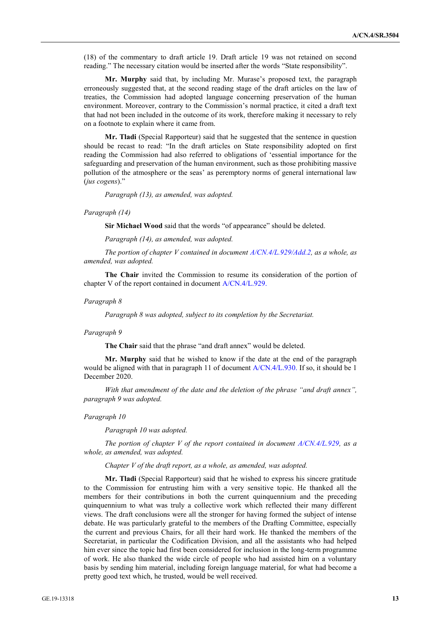(18) of the commentary to draft article 19. Draft article 19 was not retained on second reading." The necessary citation would be inserted after the words "State responsibility".

**Mr. Murphy** said that, by including Mr. Murase's proposed text, the paragraph erroneously suggested that, at the second reading stage of the draft articles on the law of treaties, the Commission had adopted language concerning preservation of the human environment. Moreover, contrary to the Commission's normal practice, it cited a draft text that had not been included in the outcome of its work, therefore making it necessary to rely on a footnote to explain where it came from.

**Mr. Tladi** (Special Rapporteur) said that he suggested that the sentence in question should be recast to read: "In the draft articles on State responsibility adopted on first reading the Commission had also referred to obligations of 'essential importance for the safeguarding and preservation of the human environment, such as those prohibiting massive pollution of the atmosphere or the seas' as peremptory norms of general international law (*jus cogens*)."

*Paragraph (13), as amended, was adopted.*

#### *Paragraph (14)*

**Sir Michael Wood** said that the words "of appearance" should be deleted.

*Paragraph (14), as amended, was adopted.*

*The portion of chapter V contained in document A/CN.4/L.929/Add.2, as a whole, as amended, was adopted.*

**The Chair** invited the Commission to resume its consideration of the portion of chapter V of the report contained in document A/CN.4/L.929.

#### *Paragraph 8*

*Paragraph 8 was adopted, subject to its completion by the Secretariat.*

#### *Paragraph 9*

**The Chair** said that the phrase "and draft annex" would be deleted.

**Mr. Murphy** said that he wished to know if the date at the end of the paragraph would be aligned with that in paragraph 11 of document A/CN.4/L.930. If so, it should be 1 December 2020.

*With that amendment of the date and the deletion of the phrase "and draft annex", paragraph 9 was adopted.*

#### *Paragraph 10*

*Paragraph 10 was adopted.*

*The portion of chapter V of the report contained in document A/CN.4/L.929, as a whole, as amended, was adopted.*

*Chapter V of the draft report, as a whole, as amended, was adopted.*

**Mr. Tladi** (Special Rapporteur) said that he wished to express his sincere gratitude to the Commission for entrusting him with a very sensitive topic. He thanked all the members for their contributions in both the current quinquennium and the preceding quinquennium to what was truly a collective work which reflected their many different views. The draft conclusions were all the stronger for having formed the subject of intense debate. He was particularly grateful to the members of the Drafting Committee, especially the current and previous Chairs, for all their hard work. He thanked the members of the Secretariat, in particular the Codification Division, and all the assistants who had helped him ever since the topic had first been considered for inclusion in the long-term programme of work. He also thanked the wide circle of people who had assisted him on a voluntary basis by sending him material, including foreign language material, for what had become a pretty good text which, he trusted, would be well received.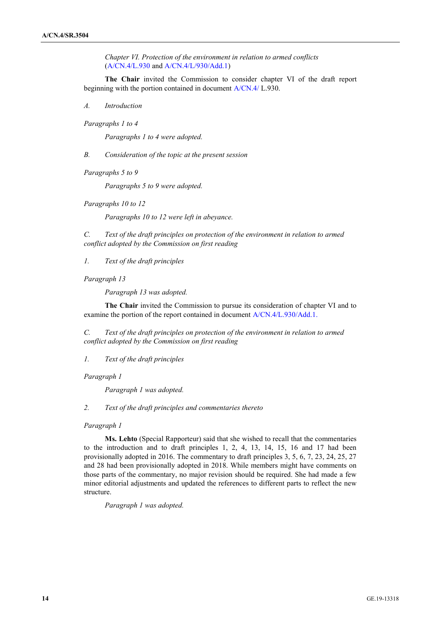*Chapter VI. Protection of the environment in relation to armed conflicts* (A/CN.4/L.930 and A/CN.4/L/930/Add.1)

**The Chair** invited the Commission to consider chapter VI of the draft report beginning with the portion contained in document A/CN.4/ L.930.

*A. Introduction*

*Paragraphs 1 to 4*

*Paragraphs 1 to 4 were adopted.* 

*B. Consideration of the topic at the present session*

*Paragraphs 5 to 9*

*Paragraphs 5 to 9 were adopted.* 

*Paragraphs 10 to 12*

*Paragraphs 10 to 12 were left in abeyance.*

*C. Text of the draft principles on protection of the environment in relation to armed conflict adopted by the Commission on first reading*

*1. Text of the draft principles*

*Paragraph 13*

*Paragraph 13 was adopted.*

**The Chair** invited the Commission to pursue its consideration of chapter VI and to examine the portion of the report contained in document A/CN.4/L.930/Add.1.

*C. Text of the draft principles on protection of the environment in relation to armed conflict adopted by the Commission on first reading*

*1. Text of the draft principles*

*Paragraph 1*

*Paragraph 1 was adopted.*

*2. Text of the draft principles and commentaries thereto*

# *Paragraph 1*

**Ms. Lehto** (Special Rapporteur) said that she wished to recall that the commentaries to the introduction and to draft principles 1, 2, 4, 13, 14, 15, 16 and 17 had been provisionally adopted in 2016. The commentary to draft principles 3, 5, 6, 7, 23, 24, 25, 27 and 28 had been provisionally adopted in 2018. While members might have comments on those parts of the commentary, no major revision should be required. She had made a few minor editorial adjustments and updated the references to different parts to reflect the new structure.

*Paragraph 1 was adopted.*